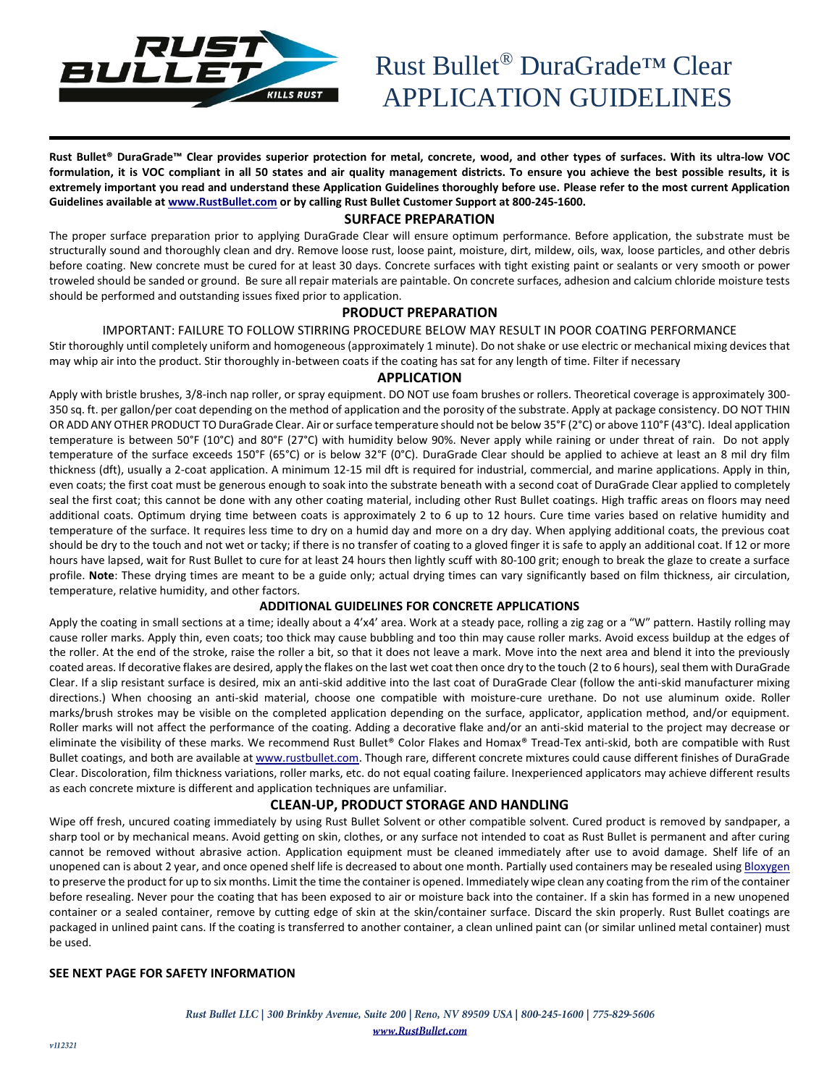

**Rust Bullet® DuraGrade™ Clear provides superior protection for metal, concrete, wood, and other types of surfaces. With its ultra-low VOC formulation, it is VOC compliant in all 50 states and air quality management districts. To ensure you achieve the best possible results, it is extremely important you read and understand these Application Guidelines thoroughly before use. Please refer to the most current Application Guidelines available a[t www.RustBullet.com](http://www.rustbullet.com/) or by calling Rust Bullet Customer Support at 800-245-1600.**

#### **SURFACE PREPARATION**

The proper surface preparation prior to applying DuraGrade Clear will ensure optimum performance. Before application, the substrate must be structurally sound and thoroughly clean and dry. Remove loose rust, loose paint, moisture, dirt, mildew, oils, wax, loose particles, and other debris before coating. New concrete must be cured for at least 30 days. Concrete surfaces with tight existing paint or sealants or very smooth or power troweled should be sanded or ground. Be sure all repair materials are paintable. On concrete surfaces, adhesion and calcium chloride moisture tests should be performed and outstanding issues fixed prior to application.

### **PRODUCT PREPARATION**

#### IMPORTANT: FAILURE TO FOLLOW STIRRING PROCEDURE BELOW MAY RESULT IN POOR COATING PERFORMANCE

Stir thoroughly until completely uniform and homogeneous (approximately 1 minute). Do not shake or use electric or mechanical mixing devices that may whip air into the product. Stir thoroughly in-between coats if the coating has sat for any length of time. Filter if necessary

#### **APPLICATION**

Apply with bristle brushes, 3/8-inch nap roller, or spray equipment. DO NOT use foam brushes or rollers. Theoretical coverage is approximately 300- 350 sq. ft. per gallon/per coat depending on the method of application and the porosity of the substrate. Apply at package consistency. DO NOT THIN OR ADD ANY OTHER PRODUCT TO DuraGrade Clear. Air or surface temperature should not be below 35°F (2°C) or above 110°F (43°C). Ideal application temperature is between 50°F (10°C) and 80°F (27°C) with humidity below 90%. Never apply while raining or under threat of rain. Do not apply temperature of the surface exceeds 150°F (65°C) or is below 32°F (0°C). DuraGrade Clear should be applied to achieve at least an 8 mil dry film thickness (dft), usually a 2-coat application. A minimum 12-15 mil dft is required for industrial, commercial, and marine applications. Apply in thin, even coats; the first coat must be generous enough to soak into the substrate beneath with a second coat of DuraGrade Clear applied to completely seal the first coat; this cannot be done with any other coating material, including other Rust Bullet coatings. High traffic areas on floors may need additional coats. Optimum drying time between coats is approximately 2 to 6 up to 12 hours. Cure time varies based on relative humidity and temperature of the surface. It requires less time to dry on a humid day and more on a dry day. When applying additional coats, the previous coat should be dry to the touch and not wet or tacky; if there is no transfer of coating to a gloved finger it is safe to apply an additional coat. If 12 or more hours have lapsed, wait for Rust Bullet to cure for at least 24 hours then lightly scuff with 80-100 grit; enough to break the glaze to create a surface profile. **Note**: These drying times are meant to be a guide only; actual drying times can vary significantly based on film thickness, air circulation, temperature, relative humidity, and other factors.

#### **ADDITIONAL GUIDELINES FOR CONCRETE APPLICATIONS**

Apply the coating in small sections at a time; ideally about a 4'x4' area. Work at a steady pace, rolling a zig zag or a "W" pattern. Hastily rolling may cause roller marks. Apply thin, even coats; too thick may cause bubbling and too thin may cause roller marks. Avoid excess buildup at the edges of the roller. At the end of the stroke, raise the roller a bit, so that it does not leave a mark. Move into the next area and blend it into the previously coated areas. If decorative flakes are desired, apply the flakes on the last wet coat then once dry to the touch (2 to 6 hours), seal them with DuraGrade Clear. If a slip resistant surface is desired, mix an anti-skid additive into the last coat of DuraGrade Clear (follow the anti-skid manufacturer mixing directions.) When choosing an anti-skid material, choose one compatible with moisture-cure urethane. Do not use aluminum oxide. Roller marks/brush strokes may be visible on the completed application depending on the surface, applicator, application method, and/or equipment. Roller marks will not affect the performance of the coating. Adding a decorative flake and/or an anti-skid material to the project may decrease or eliminate the visibility of these marks. We recommend Rust Bullet® Color Flakes and Homax® Tread-Tex anti-skid, both are compatible with Rust Bullet coatings, and both are available a[t www.rustbullet.com.](http://www.rustbullet.com/) Though rare, different concrete mixtures could cause different finishes of DuraGrade Clear. Discoloration, film thickness variations, roller marks, etc. do not equal coating failure. Inexperienced applicators may achieve different results as each concrete mixture is different and application techniques are unfamiliar.

## **CLEAN-UP, PRODUCT STORAGE AND HANDLING**

Wipe off fresh, uncured coating immediately by using Rust Bullet Solvent or other compatible solvent. Cured product is removed by sandpaper, a sharp tool or by mechanical means. Avoid getting on skin, clothes, or any surface not intended to coat as Rust Bullet is permanent and after curing cannot be removed without abrasive action. Application equipment must be cleaned immediately after use to avoid damage. Shelf life of an unopened can is about 2 year, and once opened shelf life is decreased to about one month. Partially used containers may be resealed using **Bloxygen** to preserve the product for up to six months. Limit the time the container is opened. Immediately wipe clean any coating from the rim of the container before resealing. Never pour the coating that has been exposed to air or moisture back into the container. If a skin has formed in a new unopened container or a sealed container, remove by cutting edge of skin at the skin/container surface. Discard the skin properly. Rust Bullet coatings are packaged in unlined paint cans. If the coating is transferred to another container, a clean unlined paint can (or similar unlined metal container) must be used.

#### **SEE NEXT PAGE FOR SAFETY INFORMATION**